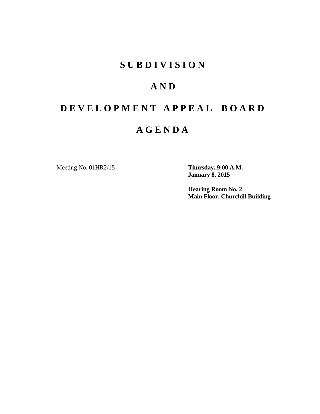# **S U B D I V I S I O N**

# **A N D**

# **D E V E L O P M E N T A P P E A L B O A R D**

# **A G E N D A**

Meeting No. 01HR2/15 **Thursday, 9:00 A.M.**

**January 8, 2015**

**Hearing Room No. 2 Main Floor, Churchill Building**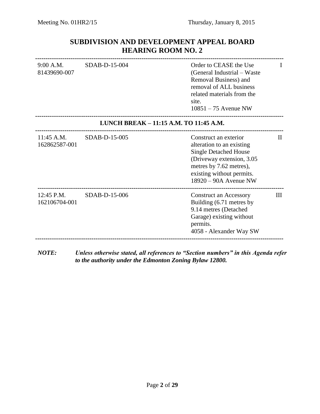# **SUBDIVISION AND DEVELOPMENT APPEAL BOARD HEARING ROOM NO. 2**

| 9:00 A.M.<br>81439690-007   | $SDAB-D-15-004$                        | Order to CEASE the Use<br>(General Industrial – Waste<br>Removal Business) and<br>removal of ALL business<br>related materials from the<br>site.<br>$10851 - 75$ Avenue NW                          | Н            |
|-----------------------------|----------------------------------------|-----------------------------------------------------------------------------------------------------------------------------------------------------------------------------------------------------|--------------|
|                             | LUNCH BREAK - 11:15 A.M. TO 11:45 A.M. |                                                                                                                                                                                                     |              |
| 11:45 A.M.<br>162862587-001 | SDAB-D-15-005                          | Construct an exterior<br>alteration to an existing<br><b>Single Detached House</b><br>(Driveway extension, 3.05)<br>metres by 7.62 metres),<br>existing without permits.<br>$18920 - 90A$ Avenue NW | $\mathbf{H}$ |
| 12:45 P.M.<br>162106704-001 | SDAB-D-15-006                          | <b>Construct an Accessory</b><br>Building (6.71 metres by<br>9.14 metres (Detached<br>Garage) existing without<br>permits.<br>4058 - Alexander Way SW                                               | Ш            |
|                             |                                        |                                                                                                                                                                                                     |              |

*NOTE: Unless otherwise stated, all references to "Section numbers" in this Agenda refer to the authority under the Edmonton Zoning Bylaw 12800.*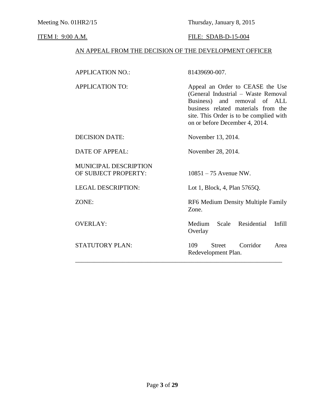Meeting No. 01HR2/15 Thursday, January 8, 2015

## **ITEM I: 9:00 A.M. FILE: SDAB-D-15-004**

# AN APPEAL FROM THE DECISION OF THE DEVELOPMENT OFFICER

| <b>APPLICATION NO.:</b>                              | 81439690-007.                                                                                                                                                                                                                  |
|------------------------------------------------------|--------------------------------------------------------------------------------------------------------------------------------------------------------------------------------------------------------------------------------|
| <b>APPLICATION TO:</b>                               | Appeal an Order to CEASE the Use<br>(General Industrial - Waste Removal<br>Business)<br>and removal of ALL<br>business related materials from the<br>site. This Order is to be complied with<br>on or before December 4, 2014. |
| <b>DECISION DATE:</b>                                | November 13, 2014.                                                                                                                                                                                                             |
| <b>DATE OF APPEAL:</b>                               | November 28, 2014.                                                                                                                                                                                                             |
| <b>MUNICIPAL DESCRIPTION</b><br>OF SUBJECT PROPERTY: | $10851 - 75$ Avenue NW.                                                                                                                                                                                                        |
| <b>LEGAL DESCRIPTION:</b>                            | Lot 1, Block, 4, Plan 5765Q.                                                                                                                                                                                                   |
| ZONE:                                                | RF6 Medium Density Multiple Family<br>Zone.                                                                                                                                                                                    |
| <b>OVERLAY:</b>                                      | Medium<br>Residential<br>Scale<br>Infill<br>Overlay                                                                                                                                                                            |
| <b>STATUTORY PLAN:</b>                               | Corridor<br>109<br><b>Street</b><br>Area<br>Redevelopment Plan.                                                                                                                                                                |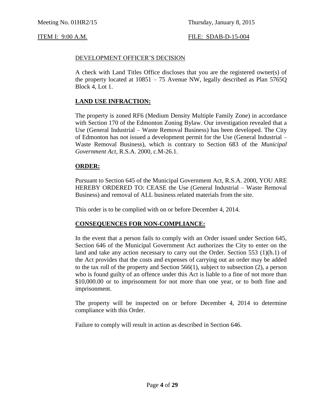### DEVELOPMENT OFFICER'S DECISION

A check with Land Titles Office discloses that you are the registered owner(s) of the property located at 10851 – 75 Avenue NW, legally described as Plan 5765Q Block 4, Lot 1.

### **LAND USE INFRACTION:**

The property is zoned RF6 (Medium Density Multiple Family Zone) in accordance with Section 170 of the Edmonton Zoning Bylaw. Our investigation revealed that a Use (General Industrial – Waste Removal Business) has been developed. The City of Edmonton has not issued a development permit for the Use (General Industrial – Waste Removal Business), which is contrary to Section 683 of the *Municipal Government Act,* R.S.A. 2000, c.M-26.1.

### **ORDER:**

Pursuant to Section 645 of the Municipal Government Act, R.S.A. 2000, YOU ARE HEREBY ORDERED TO: CEASE the Use (General Industrial – Waste Removal Business) and removal of ALL business related materials from the site.

This order is to be complied with on or before December 4, 2014.

### **CONSEQUENCES FOR NON-COMPLIANCE:**

In the event that a person fails to comply with an Order issued under Section 645, Section 646 of the Municipal Government Act authorizes the City to enter on the land and take any action necessary to carry out the Order. Section 553 (1)(h.1) of the Act provides that the costs and expenses of carrying out an order may be added to the tax roll of the property and Section 566(1), subject to subsection (2), a person who is found guilty of an offence under this Act is liable to a fine of not more than \$10,000.00 or to imprisonment for not more than one year, or to both fine and imprisonment.

The property will be inspected on or before December 4, 2014 to determine compliance with this Order.

Failure to comply will result in action as described in Section 646.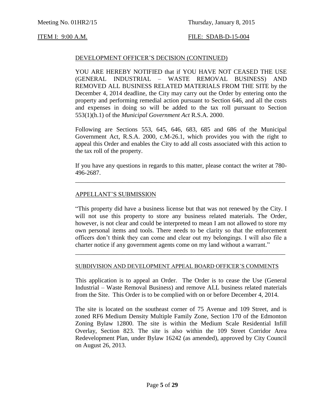### DEVELOPMENT OFFICER'S DECISION (CONTINUED)

YOU ARE HEREBY NOTIFIED that if YOU HAVE NOT CEASED THE USE (GENERAL INDUSTRIAL – WASTE REMOVAL BUSINESS) AND REMOVED ALL BUSINESS RELATED MATERIALS FROM THE SITE by the December 4, 2014 deadline, the City may carry out the Order by entering onto the property and performing remedial action pursuant to Section 646, and all the costs and expenses in doing so will be added to the tax roll pursuant to Section 553(1)(h.1) of the *Municipal Government Act* R.S.A. 2000.

Following are Sections 553, 645, 646, 683, 685 and 686 of the Municipal Government Act, R.S.A. 2000, c.M-26.1, which provides you with the right to appeal this Order and enables the City to add all costs associated with this action to the tax roll of the property.

If you have any questions in regards to this matter, please contact the writer at 780- 496-2687.

\_\_\_\_\_\_\_\_\_\_\_\_\_\_\_\_\_\_\_\_\_\_\_\_\_\_\_\_\_\_\_\_\_\_\_\_\_\_\_\_\_\_\_\_\_\_\_\_\_\_\_\_\_\_\_\_\_\_\_\_\_\_\_\_\_\_\_

### APPELLANT'S SUBMISSION

"This property did have a business license but that was not renewed by the City. I will not use this property to store any business related materials. The Order, however, is not clear and could be interpreted to mean I am not allowed to store my own personal items and tools. There needs to be clarity so that the enforcement officers don't think they can come and clear out my belongings. I will also file a charter notice if any government agents come on my land without a warrant."

#### SUBDIVISION AND DEVELOPMENT APPEAL BOARD OFFICER'S COMMENTS

\_\_\_\_\_\_\_\_\_\_\_\_\_\_\_\_\_\_\_\_\_\_\_\_\_\_\_\_\_\_\_\_\_\_\_\_\_\_\_\_\_\_\_\_\_\_\_\_\_\_\_\_\_\_\_\_\_\_\_\_\_\_\_\_\_\_\_

This application is to appeal an Order. The Order is to cease the Use (General Industrial – Waste Removal Business) and remove ALL business related materials from the Site. This Order is to be complied with on or before December 4, 2014.

The site is located on the southeast corner of 75 Avenue and 109 Street, and is zoned RF6 Medium Density Multiple Family Zone, Section 170 of the Edmonton Zoning Bylaw 12800. The site is within the Medium Scale Residential Infill Overlay, Section 823. The site is also within the 109 Street Corridor Area Redevelopment Plan, under Bylaw 16242 (as amended), approved by City Council on August 26, 2013.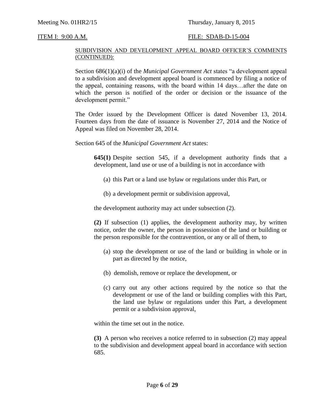#### SUBDIVISION AND DEVELOPMENT APPEAL BOARD OFFICER'S COMMENTS (CONTINUED):

Section 686(1)(a)(i) of the *Municipal Government Act* states "a development appeal to a subdivision and development appeal board is commenced by filing a notice of the appeal, containing reasons, with the board within 14 days…after the date on which the person is notified of the order or decision or the issuance of the development permit."

The Order issued by the Development Officer is dated November 13, 2014. Fourteen days from the date of issuance is November 27, 2014 and the Notice of Appeal was filed on November 28, 2014.

Section 645 of the *Municipal Government Act* states:

**645(1)** Despite section 545, if a development authority finds that a development, land use or use of a building is not in accordance with

- (a) this Part or a land use bylaw or regulations under this Part, or
- (b) a development permit or subdivision approval,

the development authority may act under subsection (2).

**(2)** If subsection (1) applies, the development authority may, by written notice, order the owner, the person in possession of the land or building or the person responsible for the contravention, or any or all of them, to

- (a) stop the development or use of the land or building in whole or in part as directed by the notice,
- (b) demolish, remove or replace the development, or
- (c) carry out any other actions required by the notice so that the development or use of the land or building complies with this Part, the land use bylaw or regulations under this Part, a development permit or a subdivision approval,

within the time set out in the notice.

**(3)** A person who receives a notice referred to in subsection (2) may appeal to the subdivision and development appeal board in accordance with section 685.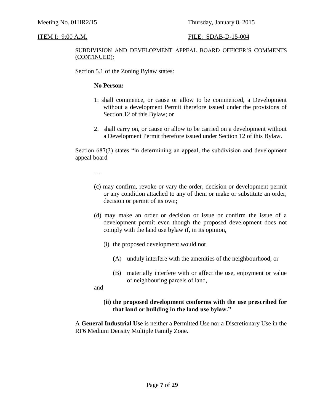#### SUBDIVISION AND DEVELOPMENT APPEAL BOARD OFFICER'S COMMENTS (CONTINUED):

Section 5.1 of the Zoning Bylaw states:

### **No Person:**

- 1. shall commence, or cause or allow to be commenced, a Development without a development Permit therefore issued under the provisions of Section 12 of this Bylaw; or
- 2. shall carry on, or cause or allow to be carried on a development without a Development Permit therefore issued under Section 12 of this Bylaw.

Section 687(3) states "in determining an appeal, the subdivision and development appeal board

….

- (c) may confirm, revoke or vary the order, decision or development permit or any condition attached to any of them or make or substitute an order, decision or permit of its own;
- (d) may make an order or decision or issue or confirm the issue of a development permit even though the proposed development does not comply with the land use bylaw if, in its opinion,
	- (i) the proposed development would not
		- (A) unduly interfere with the amenities of the neighbourhood, or
		- (B) materially interfere with or affect the use, enjoyment or value of neighbouring parcels of land,

and

### **(ii) the proposed development conforms with the use prescribed for that land or building in the land use bylaw."**

A **General Industrial Use** is neither a Permitted Use nor a Discretionary Use in the RF6 Medium Density Multiple Family Zone.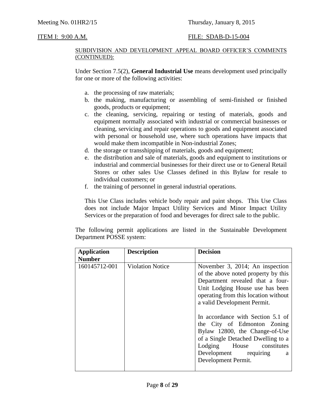#### SUBDIVISION AND DEVELOPMENT APPEAL BOARD OFFICER'S COMMENTS (CONTINUED):

Under Section 7.5(2), **General Industrial Use** means development used principally for one or more of the following activities:

- a. the processing of raw materials;
- b. the making, manufacturing or assembling of semi-finished or finished goods, products or equipment;
- c. the cleaning, servicing, repairing or testing of materials, goods and equipment normally associated with industrial or commercial businesses or cleaning, servicing and repair operations to goods and equipment associated with personal or household use, where such operations have impacts that would make them incompatible in Non-industrial Zones;
- d. the storage or transshipping of materials, goods and equipment;
- e. the distribution and sale of materials, goods and equipment to institutions or industrial and commercial businesses for their direct use or to General Retail Stores or other sales Use Classes defined in this Bylaw for resale to individual customers; or
- f. the training of personnel in general industrial operations.

This Use Class includes vehicle body repair and paint shops. This Use Class does not include Major Impact Utility Services and Minor Impact Utility Services or the preparation of food and beverages for direct sale to the public.

The following permit applications are listed in the Sustainable Development Department POSSE system:

| <b>Application</b> | <b>Description</b>      | <b>Decision</b>                                                                                                                                                                                                                                                                                                                                                                                                                                    |
|--------------------|-------------------------|----------------------------------------------------------------------------------------------------------------------------------------------------------------------------------------------------------------------------------------------------------------------------------------------------------------------------------------------------------------------------------------------------------------------------------------------------|
| <b>Number</b>      |                         |                                                                                                                                                                                                                                                                                                                                                                                                                                                    |
| 160145712-001      | <b>Violation Notice</b> | November 3, 2014; An inspection<br>of the above noted property by this<br>Department revealed that a four-<br>Unit Lodging House use has been<br>operating from this location without<br>a valid Development Permit.<br>In accordance with Section 5.1 of<br>the City of Edmonton Zoning<br>Bylaw 12800, the Change-of-Use<br>of a Single Detached Dwelling to a<br>Lodging House constitutes<br>Development requiring<br>a<br>Development Permit. |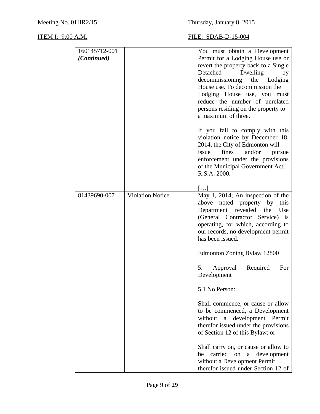| 160145712-001<br>(Continued) |                         | You must obtain a Development<br>Permit for a Lodging House use or                                                                                                                                                                                                 |
|------------------------------|-------------------------|--------------------------------------------------------------------------------------------------------------------------------------------------------------------------------------------------------------------------------------------------------------------|
|                              |                         | revert the property back to a Single<br>Detached<br>Dwelling<br>by<br>decommissioning the Lodging<br>House use. To decommission the<br>Lodging House use, you must<br>reduce the number of unrelated<br>persons residing on the property to<br>a maximum of three. |
|                              |                         | If you fail to comply with this<br>violation notice by December 18,<br>2014, the City of Edmonton will<br>fines<br>and/or<br>issue<br>pursue<br>enforcement under the provisions<br>of the Municipal Government Act,<br>R.S.A. 2000.                               |
|                              |                         | $  \dots$                                                                                                                                                                                                                                                          |
| 81439690-007                 | <b>Violation Notice</b> | May 1, 2014; An inspection of the<br>above noted property by<br>this<br>Department revealed<br>the<br>Use<br>(General Contractor Service) is<br>operating, for which, according to<br>our records, no development permit<br>has been issued.                       |
|                              |                         | Edmonton Zoning Bylaw 12800                                                                                                                                                                                                                                        |
|                              |                         | 5.<br>Required<br>Approval<br>For<br>Development                                                                                                                                                                                                                   |
|                              |                         | 5.1 No Person:                                                                                                                                                                                                                                                     |
|                              |                         | Shall commence, or cause or allow<br>to be commenced, a Development<br>development Permit<br>without<br>a<br>therefor issued under the provisions<br>of Section 12 of this Bylaw; or                                                                               |
|                              |                         | Shall carry on, or cause or allow to<br>carried<br>on<br>development<br>$\rm{a}$<br>be<br>without a Development Permit<br>therefor issued under Section 12 of                                                                                                      |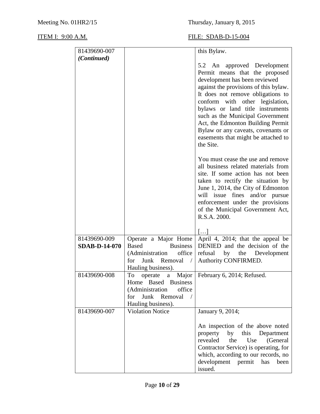| 81439690-007                         |                                                                                                                                                 | this Bylaw.                                                                                                                                                                                                                                                                                                                                                                                                            |
|--------------------------------------|-------------------------------------------------------------------------------------------------------------------------------------------------|------------------------------------------------------------------------------------------------------------------------------------------------------------------------------------------------------------------------------------------------------------------------------------------------------------------------------------------------------------------------------------------------------------------------|
| (Continued)                          |                                                                                                                                                 |                                                                                                                                                                                                                                                                                                                                                                                                                        |
|                                      |                                                                                                                                                 | 5.2 An approved Development<br>Permit means that the proposed<br>development has been reviewed<br>against the provisions of this bylaw.<br>It does not remove obligations to<br>conform with other legislation,<br>bylaws or land title instruments<br>such as the Municipal Government<br>Act, the Edmonton Building Permit<br>Bylaw or any caveats, covenants or<br>easements that might be attached to<br>the Site. |
|                                      |                                                                                                                                                 | You must cease the use and remove<br>all business related materials from<br>site. If some action has not been<br>taken to rectify the situation by<br>June 1, 2014, the City of Edmonton<br>will issue fines and/or pursue<br>enforcement under the provisions<br>of the Municipal Government Act,<br>R.S.A. 2000.                                                                                                     |
|                                      |                                                                                                                                                 | $[\ldots]$                                                                                                                                                                                                                                                                                                                                                                                                             |
| 81439690-009<br><b>SDAB-D-14-070</b> | Operate a Major Home<br><b>Based</b><br><b>Business</b><br>office<br>(Administration<br>Junk Removal<br>for<br>$\sqrt{2}$<br>Hauling business). | April 4, 2014; that the appeal be<br>DENIED and the decision of the<br>refusal by the Development<br>Authority CONFIRMED.                                                                                                                                                                                                                                                                                              |
| 81439690-008                         | To<br>operate<br>a<br>Home Based Business<br>(Administration<br>office<br>Junk Removal<br>for<br>$\sqrt{ }$<br>Hauling business).               | Major   February 6, 2014; Refused.                                                                                                                                                                                                                                                                                                                                                                                     |
| 81439690-007                         | <b>Violation Notice</b>                                                                                                                         | January 9, 2014;                                                                                                                                                                                                                                                                                                                                                                                                       |
|                                      |                                                                                                                                                 | An inspection of the above noted<br>property<br>by<br>this<br>Department<br>revealed<br>the<br>(General<br>Use<br>Contractor Service) is operating, for<br>which, according to our records, no<br>development permit<br>has<br>been<br>issued.                                                                                                                                                                         |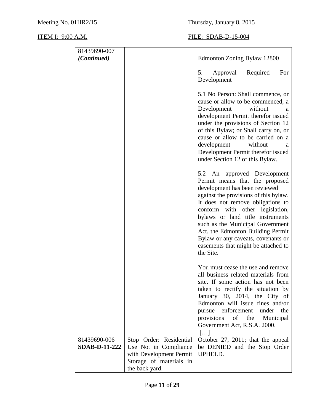| 81439690-007         |                                           |                                                                                                                                                                                                                                                                                                                                                                                                                        |
|----------------------|-------------------------------------------|------------------------------------------------------------------------------------------------------------------------------------------------------------------------------------------------------------------------------------------------------------------------------------------------------------------------------------------------------------------------------------------------------------------------|
| (Continued)          |                                           | Edmonton Zoning Bylaw 12800                                                                                                                                                                                                                                                                                                                                                                                            |
|                      |                                           | Required<br>Approval<br>For<br>5.<br>Development                                                                                                                                                                                                                                                                                                                                                                       |
|                      |                                           | 5.1 No Person: Shall commence, or<br>cause or allow to be commenced, a<br>Development<br>without<br>a<br>development Permit therefor issued<br>under the provisions of Section 12<br>of this Bylaw; or Shall carry on, or<br>cause or allow to be carried on a<br>development without<br>a<br>Development Permit therefor issued<br>under Section 12 of this Bylaw.                                                    |
|                      |                                           | 5.2 An approved Development<br>Permit means that the proposed<br>development has been reviewed<br>against the provisions of this bylaw.<br>It does not remove obligations to<br>conform with other legislation,<br>bylaws or land title instruments<br>such as the Municipal Government<br>Act, the Edmonton Building Permit<br>Bylaw or any caveats, covenants or<br>easements that might be attached to<br>the Site. |
|                      |                                           | You must cease the use and remove<br>all business related materials from<br>site. If some action has not been<br>taken to rectify the situation by<br>January 30, 2014, the City of<br>Edmonton will issue fines and/or<br>pursue enforcement<br>under the<br>of the Municipal<br>provisions<br>Government Act, R.S.A. 2000.<br>$\left[\ldots\right]$                                                                  |
| 81439690-006         | Stop Order: Residential                   | October 27, 2011; that the appeal                                                                                                                                                                                                                                                                                                                                                                                      |
| <b>SDAB-D-11-222</b> | Use Not in Compliance                     | be DENIED and the Stop Order                                                                                                                                                                                                                                                                                                                                                                                           |
|                      | with Development Permit                   | UPHELD.                                                                                                                                                                                                                                                                                                                                                                                                                |
|                      | Storage of materials in<br>the back yard. |                                                                                                                                                                                                                                                                                                                                                                                                                        |
|                      |                                           |                                                                                                                                                                                                                                                                                                                                                                                                                        |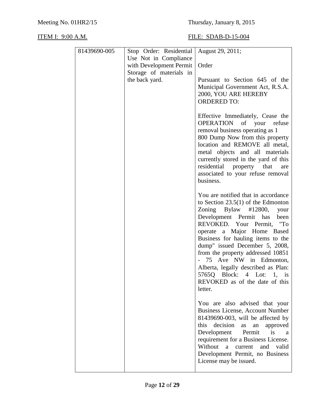| 81439690-005 | Stop Order: Residential | August 29, 2011;                                                              |
|--------------|-------------------------|-------------------------------------------------------------------------------|
|              | Use Not in Compliance   |                                                                               |
|              | with Development Permit | Order                                                                         |
|              | Storage of materials in |                                                                               |
|              | the back yard.          | Pursuant to Section 645 of the                                                |
|              |                         | Municipal Government Act, R.S.A.<br>2000, YOU ARE HEREBY                      |
|              |                         | <b>ORDERED TO:</b>                                                            |
|              |                         |                                                                               |
|              |                         | Effective Immediately, Cease the                                              |
|              |                         | OPERATION of your refuse                                                      |
|              |                         | removal business operating as 1<br>800 Dump Now from this property            |
|              |                         | location and REMOVE all metal,                                                |
|              |                         | metal objects and all materials                                               |
|              |                         | currently stored in the yard of this                                          |
|              |                         | residential property that<br>are<br>associated to your refuse removal         |
|              |                         | business.                                                                     |
|              |                         |                                                                               |
|              |                         | You are notified that in accordance                                           |
|              |                         | to Section $23.5(1)$ of the Edmonton<br>Zoning Bylaw<br>#12800,<br>your       |
|              |                         | Development Permit has<br>been                                                |
|              |                         | REVOKED. Your Permit, "To                                                     |
|              |                         | operate a Major Home Based                                                    |
|              |                         | Business for hauling items to the<br>dump" issued December 5, 2008,           |
|              |                         | from the property addressed 10851                                             |
|              |                         | - 75 Ave NW in Edmonton,                                                      |
|              |                         | Alberta, legally described as Plan:                                           |
|              |                         | 5765Q Block: 4 Lot: 1, is                                                     |
|              |                         | REVOKED as of the date of this<br>letter.                                     |
|              |                         |                                                                               |
|              |                         | You are also advised that your                                                |
|              |                         | <b>Business License, Account Number</b>                                       |
|              |                         | 81439690-003, will be affected by<br>decision<br>this<br>approved<br>as<br>an |
|              |                         | Development<br>Permit<br>is<br>a                                              |
|              |                         | requirement for a Business License.                                           |
|              |                         | Without<br>and<br>a<br>current<br>valid                                       |
|              |                         | Development Permit, no Business<br>License may be issued.                     |
|              |                         |                                                                               |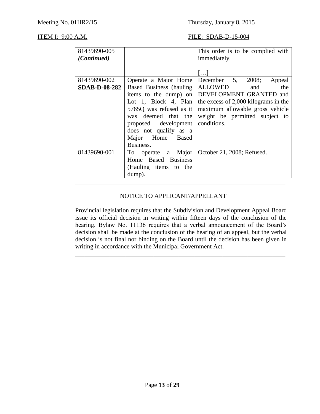| 81439690-005         |                             | This order is to be complied with    |
|----------------------|-----------------------------|--------------------------------------|
| (Continued)          |                             | immediately.                         |
|                      |                             |                                      |
|                      |                             | $\left  \ldots \right $              |
| 81439690-002         | Operate a Major Home        | December 5, 2008;<br>Appeal          |
| <b>SDAB-D-08-282</b> | Based Business (hauling)    | <b>ALLOWED</b><br>the<br>and         |
|                      | items to the dump) on       | DEVELOPMENT GRANTED and              |
|                      | Lot 1, Block 4, Plan        | the excess of 2,000 kilograms in the |
|                      | 5765Q was refused as it     | maximum allowable gross vehicle      |
|                      | was deemed that the         | weight be permitted subject to       |
|                      | proposed development        | conditions.                          |
|                      | does not qualify as a       |                                      |
|                      | Major Home Based            |                                      |
|                      | Business.                   |                                      |
| 81439690-001         | a Major<br>To To<br>operate | October 21, 2008; Refused.           |
|                      | Home Based Business         |                                      |
|                      | (Hauling items to the       |                                      |
|                      | dump).                      |                                      |
|                      |                             |                                      |

## NOTICE TO APPLICANT/APPELLANT

Provincial legislation requires that the Subdivision and Development Appeal Board issue its official decision in writing within fifteen days of the conclusion of the hearing. Bylaw No. 11136 requires that a verbal announcement of the Board's decision shall be made at the conclusion of the hearing of an appeal, but the verbal decision is not final nor binding on the Board until the decision has been given in writing in accordance with the Municipal Government Act.

\_\_\_\_\_\_\_\_\_\_\_\_\_\_\_\_\_\_\_\_\_\_\_\_\_\_\_\_\_\_\_\_\_\_\_\_\_\_\_\_\_\_\_\_\_\_\_\_\_\_\_\_\_\_\_\_\_\_\_\_\_\_\_\_\_\_\_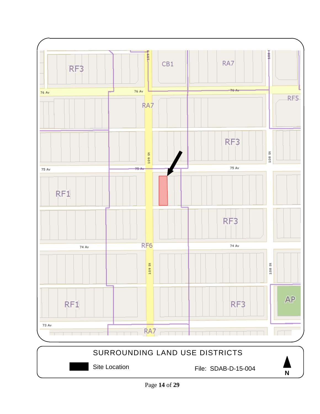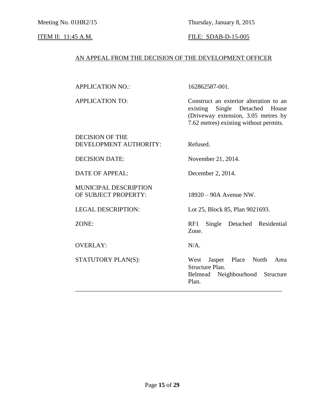Meeting No. 01HR2/15 Thursday, January 8, 2015

### **ITEM II:** 11:45 A.M. **FILE:** SDAB-D-15-005

### AN APPEAL FROM THE DECISION OF THE DEVELOPMENT OFFICER

162862587-001.

APPLICATION TO: Construct an exterior alteration to an existing Single Detached House (Driveway extension, 3.05 metres by 7.62 metres) existing without permits.

#### DECISION OF THE DEVELOPMENT AUTHORITY: Refused.

DATE OF APPEAL: December 2, 2014.

MUNICIPAL DESCRIPTION OF SUBJECT PROPERTY: 18920 – 90A Avenue NW.

OVERLAY: N/A.

DECISION DATE: November 21, 2014.

LEGAL DESCRIPTION: Lot 25, Block 85, Plan 9021693.

ZONE: RF1 Single Detached Residential Zone.

STATUTORY PLAN(S): West Jasper Place North Area Structure Plan. Belmead Neighbourhood Structure Plan. \_\_\_\_\_\_\_\_\_\_\_\_\_\_\_\_\_\_\_\_\_\_\_\_\_\_\_\_\_\_\_\_\_\_\_\_\_\_\_\_\_\_\_\_\_\_\_\_\_\_\_\_\_\_\_\_\_\_\_\_\_\_\_\_\_\_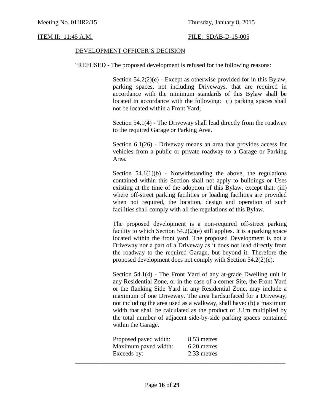### DEVELOPMENT OFFICER'S DECISION

"REFUSED - The proposed development is refused for the following reasons:

Section  $54.2(2)(e)$  - Except as otherwise provided for in this Bylaw, parking spaces, not including Driveways, that are required in accordance with the minimum standards of this Bylaw shall be located in accordance with the following: (i) parking spaces shall not be located within a Front Yard;

Section 54.1(4) - The Driveway shall lead directly from the roadway to the required Garage or Parking Area.

Section 6.1(26) - Driveway means an area that provides access for vehicles from a public or private roadway to a Garage or Parking Area.

Section  $54.1(1)(b)$  - Notwithstanding the above, the regulations contained within this Section shall not apply to buildings or Uses existing at the time of the adoption of this Bylaw, except that: (iii) where off-street parking facilities or loading facilities are provided when not required, the location, design and operation of such facilities shall comply with all the regulations of this Bylaw.

The proposed development is a non-required off-street parking facility to which Section  $54.2(2)(e)$  still applies. It is a parking space located within the front yard. The proposed Development is not a Driveway nor a part of a Driveway as it does not lead directly from the roadway to the required Garage, but beyond it. Therefore the proposed development does not comply with Section 54.2(2)(e).

Section 54.1(4) - The Front Yard of any at-grade Dwelling unit in any Residential Zone, or in the case of a corner Site, the Front Yard or the flanking Side Yard in any Residential Zone, may include a maximum of one Driveway. The area hardsurfaced for a Driveway, not including the area used as a walkway, shall have: (b) a maximum width that shall be calculated as the product of 3.1m multiplied by the total number of adjacent side-by-side parking spaces contained within the Garage.

| Proposed paved width: | 8.53 metres |
|-----------------------|-------------|
| Maximum paved width:  | 6.20 metres |
| Exceeds by:           | 2.33 metres |
|                       |             |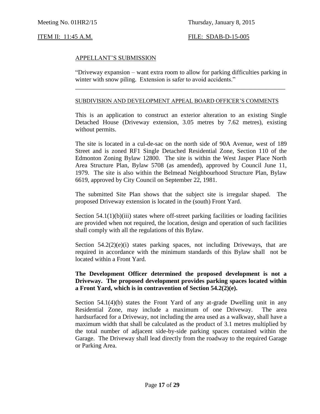### APPELLANT'S SUBMISSION

"Driveway expansion – want extra room to allow for parking difficulties parking in winter with snow piling. Extension is safer to avoid accidents."

\_\_\_\_\_\_\_\_\_\_\_\_\_\_\_\_\_\_\_\_\_\_\_\_\_\_\_\_\_\_\_\_\_\_\_\_\_\_\_\_\_\_\_\_\_\_\_\_\_\_\_\_\_\_\_\_\_\_\_\_\_\_\_\_\_\_\_

#### SUBDIVISION AND DEVELOPMENT APPEAL BOARD OFFICER'S COMMENTS

This is an application to construct an exterior alteration to an existing Single Detached House (Driveway extension, 3.05 metres by 7.62 metres), existing without permits.

The site is located in a cul-de-sac on the north side of 90A Avenue, west of 189 Street and is zoned RF1 Single Detached Residential Zone, Section 110 of the Edmonton Zoning Bylaw 12800. The site is within the West Jasper Place North Area Structure Plan, Bylaw 5708 (as amended), approved by Council June 11, 1979. The site is also within the Belmead Neighbourhood Structure Plan, Bylaw 6619, approved by City Council on September 22, 1981.

The submitted Site Plan shows that the subject site is irregular shaped. The proposed Driveway extension is located in the (south) Front Yard.

Section  $54.1(1)(b)(iii)$  states where off-street parking facilities or loading facilities are provided when not required, the location, design and operation of such facilities shall comply with all the regulations of this Bylaw.

Section  $54.2(2)(e)(i)$  states parking spaces, not including Driveways, that are required in accordance with the minimum standards of this Bylaw shall not be located within a Front Yard.

### **The Development Officer determined the proposed development is not a Driveway. The proposed development provides parking spaces located within a Front Yard, which is in contravention of Section 54.2(2)(e).**

Section 54.1(4)(b) states the Front Yard of any at-grade Dwelling unit in any Residential Zone, may include a maximum of one Driveway. The area hardsurfaced for a Driveway, not including the area used as a walkway, shall have a maximum width that shall be calculated as the product of 3.1 metres multiplied by the total number of adjacent side-by-side parking spaces contained within the Garage. The Driveway shall lead directly from the roadway to the required Garage or Parking Area.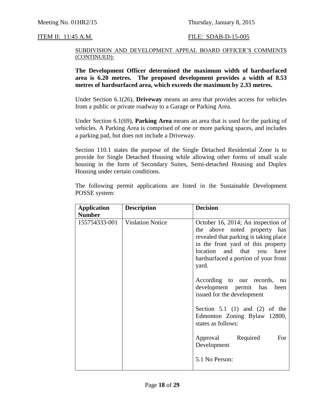#### SUBDIVISION AND DEVELOPMENT APPEAL BOARD OFFICER'S COMMENTS (CONTINUED):

**The Development Officer determined the maximum width of hardsurfaced area is 6.20 metres. The proposed development provides a width of 8.53 metres of hardsurfaced area, which exceeds the maximum by 2.33 metres.**

Under Section 6.1(26), **Driveway** means an area that provides access for vehicles from a public or private roadway to a Garage or Parking Area.

Under Section 6.1(69), **Parking Area** means an area that is used for the parking of vehicles. A Parking Area is comprised of one or more parking spaces, and includes a parking pad, but does not include a Driveway.

Section 110.1 states the purpose of the Single Detached Residential Zone is to provide for Single Detached Housing while allowing other forms of small scale housing in the form of Secondary Suites, Semi-detached Housing and Duplex Housing under certain conditions.

The following permit applications are listed in the Sustainable Development POSSE system:

| <b>Application</b> | <b>Description</b>      | <b>Decision</b>                                                                                                                                                                                                                                                                                    |
|--------------------|-------------------------|----------------------------------------------------------------------------------------------------------------------------------------------------------------------------------------------------------------------------------------------------------------------------------------------------|
| <b>Number</b>      |                         |                                                                                                                                                                                                                                                                                                    |
| 155754333-001      | <b>Violation Notice</b> | October 16, 2014; An inspection of<br>the above noted property has<br>revealed that parking is taking place<br>in the front yard of this property<br>location and that you<br>have<br>hardsurfaced a portion of your front<br>yard.<br>According to our records, no<br>development permit has been |
|                    |                         | issued for the development<br>Section 5.1 (1) and (2) of the<br>Edmonton Zoning Bylaw 12800,<br>states as follows:                                                                                                                                                                                 |
|                    |                         | Approval Required<br>For<br>Development<br>5.1 No Person:                                                                                                                                                                                                                                          |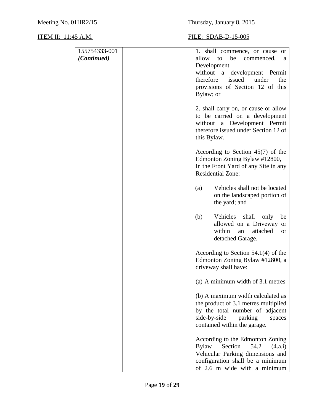| 155754333-001 | 1. shall commence, or cause or                                            |
|---------------|---------------------------------------------------------------------------|
| (Continued)   | allow to<br>be<br>commenced,<br>a                                         |
|               | Development                                                               |
|               | without a development Permit                                              |
|               | issued under<br>therefore<br>the                                          |
|               | provisions of Section 12 of this                                          |
|               | Bylaw; or                                                                 |
|               | 2. shall carry on, or cause or allow                                      |
|               | to be carried on a development                                            |
|               | without a Development Permit                                              |
|               | therefore issued under Section 12 of                                      |
|               | this Bylaw.                                                               |
|               | According to Section $45(7)$ of the                                       |
|               | Edmonton Zoning Bylaw #12800,                                             |
|               | In the Front Yard of any Site in any                                      |
|               | <b>Residential Zone:</b>                                                  |
|               | Vehicles shall not be located<br>(a)                                      |
|               | on the landscaped portion of                                              |
|               | the yard; and                                                             |
|               |                                                                           |
|               | (b)<br>Vehicles shall<br>only<br>be<br>allowed on a Driveway<br><b>or</b> |
|               | within<br>attached<br>an<br><sub>or</sub>                                 |
|               | detached Garage.                                                          |
|               |                                                                           |
|               | According to Section $54.1(4)$ of the<br>Edmonton Zoning Bylaw #12800, a  |
|               | driveway shall have:                                                      |
|               |                                                                           |
|               | (a) A minimum width of 3.1 metres                                         |
|               | (b) A maximum width calculated as                                         |
|               | the product of 3.1 metres multiplied                                      |
|               | by the total number of adjacent                                           |
|               | side-by-side<br>parking<br>spaces                                         |
|               | contained within the garage.                                              |
|               | According to the Edmonton Zoning                                          |
|               | Section<br><b>Bylaw</b><br>54.2<br>(4.a.i)                                |
|               | Vehicular Parking dimensions and                                          |
|               | configuration shall be a minimum                                          |
|               | of 2.6 m wide with a minimum                                              |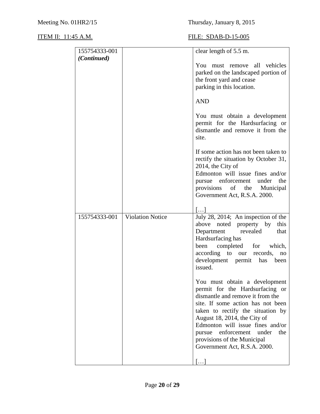| 155754333-001 |                         | clear length of 5.5 m.                                                                                                                                                                                                                                                                                                                               |
|---------------|-------------------------|------------------------------------------------------------------------------------------------------------------------------------------------------------------------------------------------------------------------------------------------------------------------------------------------------------------------------------------------------|
| (Continued)   |                         | You must remove all vehicles<br>parked on the landscaped portion of<br>the front yard and cease<br>parking in this location.                                                                                                                                                                                                                         |
|               |                         | <b>AND</b>                                                                                                                                                                                                                                                                                                                                           |
|               |                         | You must obtain a development<br>permit for the Hardsurfacing or<br>dismantle and remove it from the<br>site.                                                                                                                                                                                                                                        |
|               |                         | If some action has not been taken to<br>rectify the situation by October 31,<br>2014, the City of<br>Edmonton will issue fines and/or<br>the<br>pursue enforcement under<br>provisions<br>of the Municipal<br>Government Act, R.S.A. 2000.                                                                                                           |
|               |                         | []                                                                                                                                                                                                                                                                                                                                                   |
| 155754333-001 | <b>Violation Notice</b> | July 28, 2014; An inspection of the<br>above<br>noted property by<br>this<br>Department revealed<br>that<br>Hardsurfacing has<br>completed for which,<br>been<br>according to our records,<br>no<br>development permit has been<br>issued.                                                                                                           |
|               |                         | You must obtain a development<br>permit for the Hardsurfacing or<br>dismantle and remove it from the<br>site. If some action has not been<br>taken to rectify the situation by<br>August 18, 2014, the City of<br>Edmonton will issue fines and/or<br>pursue enforcement under<br>the<br>provisions of the Municipal<br>Government Act, R.S.A. 2000. |
|               |                         |                                                                                                                                                                                                                                                                                                                                                      |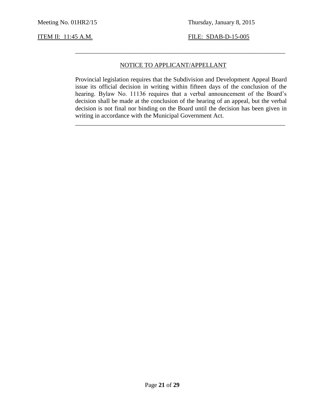### NOTICE TO APPLICANT/APPELLANT

\_\_\_\_\_\_\_\_\_\_\_\_\_\_\_\_\_\_\_\_\_\_\_\_\_\_\_\_\_\_\_\_\_\_\_\_\_\_\_\_\_\_\_\_\_\_\_\_\_\_\_\_\_\_\_\_\_\_\_\_\_\_\_\_\_\_\_

Provincial legislation requires that the Subdivision and Development Appeal Board issue its official decision in writing within fifteen days of the conclusion of the hearing. Bylaw No. 11136 requires that a verbal announcement of the Board's decision shall be made at the conclusion of the hearing of an appeal, but the verbal decision is not final nor binding on the Board until the decision has been given in writing in accordance with the Municipal Government Act.

\_\_\_\_\_\_\_\_\_\_\_\_\_\_\_\_\_\_\_\_\_\_\_\_\_\_\_\_\_\_\_\_\_\_\_\_\_\_\_\_\_\_\_\_\_\_\_\_\_\_\_\_\_\_\_\_\_\_\_\_\_\_\_\_\_\_\_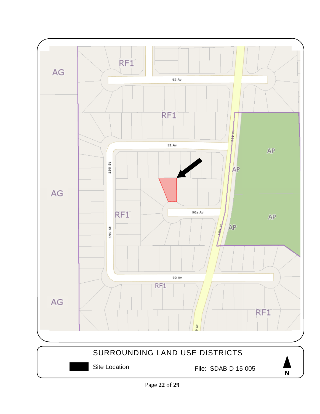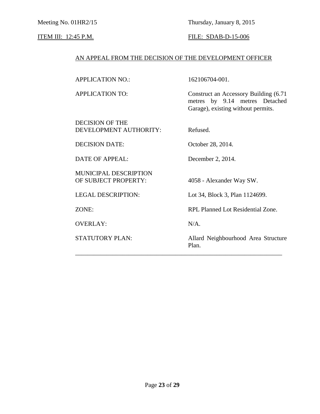Meeting No. 01HR2/15 Thursday, January 8, 2015

### **ITEM III:** 12:45 P.M. **FILE:** SDAB-D-15-006

### AN APPEAL FROM THE DECISION OF THE DEVELOPMENT OFFICER

APPLICATION NO.: 162106704-001.

APPLICATION TO: Construct an Accessory Building (6.71 metres by 9.14 metres Detached Garage), existing without permits.

DECISION OF THE DEVELOPMENT AUTHORITY: Refused.

DECISION DATE: October 28, 2014.

DATE OF APPEAL: December 2, 2014.

MUNICIPAL DESCRIPTION OF SUBJECT PROPERTY: 4058 - Alexander Way SW.

OVERLAY: N/A.

LEGAL DESCRIPTION: Lot 34, Block 3, Plan 1124699.

ZONE: RPL Planned Lot Residential Zone.

\_\_\_\_\_\_\_\_\_\_\_\_\_\_\_\_\_\_\_\_\_\_\_\_\_\_\_\_\_\_\_\_\_\_\_\_\_\_\_\_\_\_\_\_\_\_\_\_\_\_\_\_\_\_\_\_\_\_\_\_\_\_\_\_\_\_

STATUTORY PLAN: Allard Neighbourhood Area Structure Plan.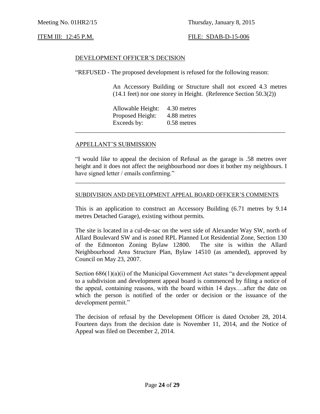### DEVELOPMENT OFFICER'S DECISION

"REFUSED - The proposed development is refused for the following reason:

An Accessory Building or Structure shall not exceed 4.3 metres (14.1 feet) nor one storey in Height. (Reference Section 50.3(2))

Allowable Height: 4.30 metres Proposed Height: 4.88 metres Exceeds by: 0.58 metres

#### APPELLANT'S SUBMISSION

"I would like to appeal the decision of Refusal as the garage is .58 metres over height and it does not affect the neighbourhood nor does it bother my neighbours. I have signed letter / emails confirming."

\_\_\_\_\_\_\_\_\_\_\_\_\_\_\_\_\_\_\_\_\_\_\_\_\_\_\_\_\_\_\_\_\_\_\_\_\_\_\_\_\_\_\_\_\_\_\_\_\_\_\_\_\_\_\_\_\_\_\_\_\_\_\_\_\_\_\_

\_\_\_\_\_\_\_\_\_\_\_\_\_\_\_\_\_\_\_\_\_\_\_\_\_\_\_\_\_\_\_\_\_\_\_\_\_\_\_\_\_\_\_\_\_\_\_\_\_\_\_\_\_\_\_\_\_\_\_\_\_\_\_\_\_\_\_

#### SUBDIVISION AND DEVELOPMENT APPEAL BOARD OFFICER'S COMMENTS

This is an application to construct an Accessory Building (6.71 metres by 9.14 metres Detached Garage), existing without permits.

The site is located in a cul-de-sac on the west side of Alexander Way SW, north of Allard Boulevard SW and is zoned RPL Planned Lot Residential Zone, Section 130 of the Edmonton Zoning Bylaw 12800. The site is within the Allard Neighbourhood Area Structure Plan, Bylaw 14510 (as amended), approved by Council on May 23, 2007.

Section  $686(1)(a)(i)$  of the Municipal Government Act states "a development appeal to a subdivision and development appeal board is commenced by filing a notice of the appeal, containing reasons, with the board within 14 days….after the date on which the person is notified of the order or decision or the issuance of the development permit."

The decision of refusal by the Development Officer is dated October 28, 2014. Fourteen days from the decision date is November 11, 2014, and the Notice of Appeal was filed on December 2, 2014.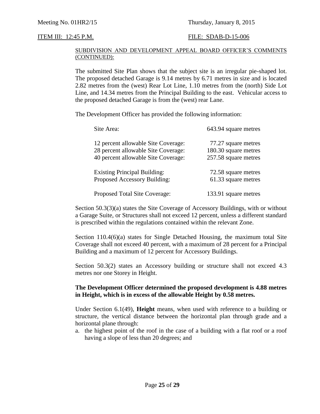#### SUBDIVISION AND DEVELOPMENT APPEAL BOARD OFFICER'S COMMENTS (CONTINUED):

The submitted Site Plan shows that the subject site is an irregular pie-shaped lot. The proposed detached Garage is 9.14 metres by 6.71 metres in size and is located 2.82 metres from the (west) Rear Lot Line, 1.10 metres from the (north) Side Lot Line, and 14.34 metres from the Principal Building to the east. Vehicular access to the proposed detached Garage is from the (west) rear Lane.

The Development Officer has provided the following information:

| Site Area:                          | 643.94 square metres |
|-------------------------------------|----------------------|
| 12 percent allowable Site Coverage: | 77.27 square metres  |
| 28 percent allowable Site Coverage: | 180.30 square metres |
| 40 percent allowable Site Coverage: | 257.58 square metres |
| <b>Existing Principal Building:</b> | 72.58 square metres  |
| Proposed Accessory Building:        | 61.33 square metres  |
| Proposed Total Site Coverage:       | 133.91 square metres |

Section 50.3(3)(a) states the Site Coverage of Accessory Buildings, with or without a Garage Suite, or Structures shall not exceed 12 percent, unless a different standard is prescribed within the regulations contained within the relevant Zone.

Section 110.4(6)(a) states for Single Detached Housing, the maximum total Site Coverage shall not exceed 40 percent, with a maximum of 28 percent for a Principal Building and a maximum of 12 percent for Accessory Buildings.

Section 50.3(2) states an Accessory building or structure shall not exceed 4.3 metres nor one Storey in Height.

### **The Development Officer determined the proposed development is 4.88 metres in Height, which is in excess of the allowable Height by 0.58 metres.**

Under Section 6.1(49), **Height** means, when used with reference to a building or structure, the vertical distance between the horizontal plan through grade and a horizontal plane through:

a. the highest point of the roof in the case of a building with a flat roof or a roof having a slope of less than 20 degrees; and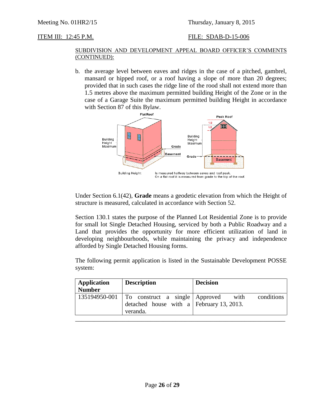### SUBDIVISION AND DEVELOPMENT APPEAL BOARD OFFICER'S COMMENTS (CONTINUED):

b. the average level between eaves and ridges in the case of a pitched, gambrel, mansard or hipped roof, or a roof having a slope of more than 20 degrees; provided that in such cases the ridge line of the rood shall not extend more than 1.5 metres above the maximum permitted building Height of the Zone or in the case of a Garage Suite the maximum permitted building Height in accordance with Section 87 of this Bylaw.



Under Section 6.1(42), **Grade** means a geodetic elevation from which the Height of structure is measured, calculated in accordance with Section 52.

Section 130.1 states the purpose of the Planned Lot Residential Zone is to provide for small lot Single Detached Housing, serviced by both a Public Roadway and a Land that provides the opportunity for more efficient utilization of land in developing neighbourhoods, while maintaining the privacy and independence afforded by Single Detached Housing forms.

The following permit application is listed in the Sustainable Development POSSE system:

| <b>Application</b><br><b>Number</b> | <b>Description</b>                                                                                            | <b>Decision</b> |
|-------------------------------------|---------------------------------------------------------------------------------------------------------------|-----------------|
|                                     | 135194950-001   To construct a single   Approved with<br>detached house with a February 13, 2013.<br>veranda. | conditions      |
|                                     |                                                                                                               |                 |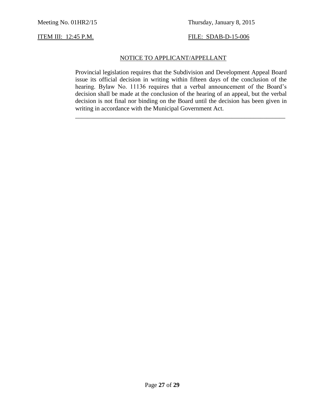### NOTICE TO APPLICANT/APPELLANT

Provincial legislation requires that the Subdivision and Development Appeal Board issue its official decision in writing within fifteen days of the conclusion of the hearing. Bylaw No. 11136 requires that a verbal announcement of the Board's decision shall be made at the conclusion of the hearing of an appeal, but the verbal decision is not final nor binding on the Board until the decision has been given in writing in accordance with the Municipal Government Act.

\_\_\_\_\_\_\_\_\_\_\_\_\_\_\_\_\_\_\_\_\_\_\_\_\_\_\_\_\_\_\_\_\_\_\_\_\_\_\_\_\_\_\_\_\_\_\_\_\_\_\_\_\_\_\_\_\_\_\_\_\_\_\_\_\_\_\_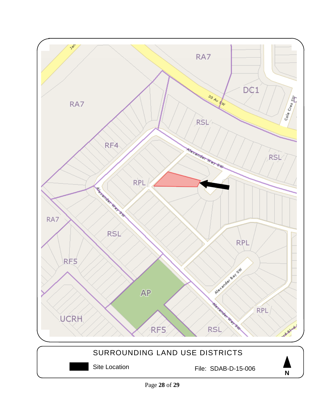